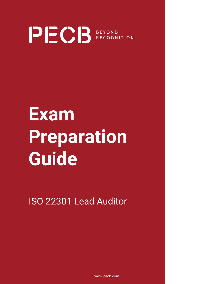

# **Exam Preparation Guide**

ISO 22301 Lead Auditor

www.pecb.com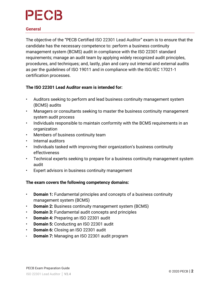#### **General**

The objective of the "PECB Certified ISO 22301 Lead Auditor" exam is to ensure that the candidate has the necessary competence to: perform a business continuity management system (BCMS) audit in compliance with the ISO 22301 standard requirements; manage an audit team by applying widely recognized audit principles, procedures, and techniques; and, lastly, plan and carry out internal and external audits as per the guidelines of ISO 19011 and in compliance with the ISO/IEC 17021-1 certification processes.

#### **The ISO 22301 Lead Auditor exam is intended for:**

- Auditors seeking to perform and lead business continuity management system (BCMS) audits
- Managers or consultants seeking to master the business continuity management system audit process
- Individuals responsible to maintain conformity with the BCMS requirements in an organization
- Members of business continuity team
- Internal auditors
- Individuals tasked with improving their organization's business continuity effectiveness
- Technical experts seeking to prepare for a business continuity management system audit
- Expert advisors in business continuity management

#### **The exam covers the following competency domains:**

- **Domain 1:** Fundamental principles and concepts of a business continuity management system (BCMS)
- **Domain 2:** Business continuity management system (BCMS)
- **Domain 3:** Fundamental audit concepts and principles
- **Domain 4:** Preparing an ISO 22301 audit
- **Domain 5:** Conducting an ISO 22301 audit
- **Domain 6:** Closing an ISO 22301 audit
- **Domain 7:** Managing an ISO 22301 audit program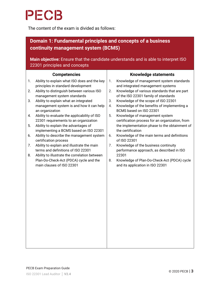The content of the exam is divided as follows:

### **Domain 1: Fundamental principles and concepts of a business continuity management system (BCMS)**

**Main objective:** Ensure that the candidate understands and is able to interpret ISO 22301 principles and concepts

|    | <b>Competencies</b>                                                                 | <b>Knowledge statements</b> |                                                                                                  |  |  |
|----|-------------------------------------------------------------------------------------|-----------------------------|--------------------------------------------------------------------------------------------------|--|--|
| 1. | Ability to explain what ISO does and the key<br>principles in standard development  | 1.                          | Knowledge of management system standards<br>and integrated management systems                    |  |  |
| 2. | Ability to distinguish between various ISO<br>management system standards           | 2.                          | Knowledge of various standards that are part<br>of the ISO 22301 family of standards             |  |  |
| 3. | Ability to explain what an integrated                                               | 3.                          | Knowledge of the scope of ISO 22301                                                              |  |  |
|    | management system is and how it can help<br>an organization                         | 4.                          | Knowledge of the benefits of implementing a<br>BCMS based on ISO 22301                           |  |  |
| 4. | Ability to evaluate the applicability of ISO                                        | 5.                          | Knowledge of management system                                                                   |  |  |
| 5. | 22301 requirements to an organization<br>Ability to explain the advantages of       |                             | certification process for an organization, from<br>the implementation phase to the obtainment of |  |  |
|    | implementing a BCMS based on ISO 22301                                              |                             | the certification                                                                                |  |  |
| 6. | Ability to describe the management system<br>certification process                  | 6.                          | Knowledge of the main terms and definitions<br>of ISO 22301                                      |  |  |
| 7. | Ability to explain and illustrate the main                                          | 7.                          | Knowledge of the business continuity                                                             |  |  |
| 8. | terms and definitions of ISO 22301<br>Ability to illustrate the correlation between |                             | performance approach, as described in ISO<br>22301                                               |  |  |
|    | Plan-Do-Check-Act (PDCA) cycle and the                                              | 8.                          | Knowledge of Plan-Do-Check-Act (PDCA) cycle                                                      |  |  |
|    | main clauses of ISO 22301                                                           |                             | and its application in ISO 22301                                                                 |  |  |
|    |                                                                                     |                             |                                                                                                  |  |  |
|    |                                                                                     |                             |                                                                                                  |  |  |
|    |                                                                                     |                             |                                                                                                  |  |  |
|    |                                                                                     |                             |                                                                                                  |  |  |
|    |                                                                                     |                             |                                                                                                  |  |  |
|    |                                                                                     |                             |                                                                                                  |  |  |
|    |                                                                                     |                             |                                                                                                  |  |  |
|    |                                                                                     |                             |                                                                                                  |  |  |
|    |                                                                                     |                             |                                                                                                  |  |  |
|    |                                                                                     |                             |                                                                                                  |  |  |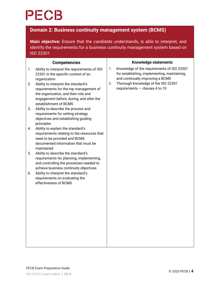### **Domain 2: Business continuity management system (BCMS)**

**Main objective:** Ensure that the candidate understands, is able to interpret, and identify the requirements for a business continuity management system based on ISO 22301

|    | <b>Competencies</b>                                                                                                                                                                        |    | <b>Knowledge statements</b>                                                                                                    |
|----|--------------------------------------------------------------------------------------------------------------------------------------------------------------------------------------------|----|--------------------------------------------------------------------------------------------------------------------------------|
| 1. | Ability to interpret the requirements of ISO<br>22301 in the specific context of an<br>organization                                                                                        | 1. | Knowledge of the requirements of ISO 22301<br>for establishing, implementing, maintaining,<br>and continually improving a BCMS |
| 2. | Ability to interpret the standard's<br>requirements for the top management of<br>the organization, and their role and<br>engagement before, during, and after the<br>establishment of BCMS | 2. | Thorough knowledge of the ISO 22301<br>requirements $-$ clauses 4 to 10                                                        |
| 3. | Ability to describe the process and<br>requirements for setting strategy<br>objectives and establishing guiding<br>principles                                                              |    |                                                                                                                                |
| 4. | Ability to explain the standard's<br>requirements relating to the resources that<br>need to be provided and BCMS<br>documented information that must be<br>maintained                      |    |                                                                                                                                |
| 5. | Ability to describe the standard's<br>requirements for planning, implementing,<br>and controlling the processes needed to<br>achieve business continuity objectives                        |    |                                                                                                                                |
| 6. | Ability to interpret the standard's<br>requirements on evaluating the<br>effectiveness of BCMS                                                                                             |    |                                                                                                                                |
|    |                                                                                                                                                                                            |    |                                                                                                                                |
|    |                                                                                                                                                                                            |    |                                                                                                                                |
|    |                                                                                                                                                                                            |    |                                                                                                                                |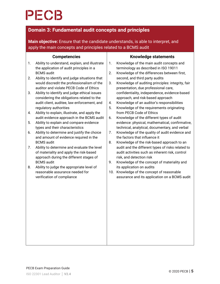### **Domain 3: Fundamental audit concepts and principles**

**Main objective:** Ensure that the candidate understands, is able to interpret, and apply the main concepts and principles related to a BCMS audit

|    | <b>Competencies</b>                                                                                                                       | <b>Knowledge statements</b> |                                                                                                                                  |  |  |
|----|-------------------------------------------------------------------------------------------------------------------------------------------|-----------------------------|----------------------------------------------------------------------------------------------------------------------------------|--|--|
| 1. | Ability to understand, explain, and illustrate<br>the application of audit principles in a<br><b>BCMS</b> audit                           | 1.<br>2.                    | Knowledge of the main audit concepts and<br>terminology as described in ISO 19011<br>Knowledge of the differences between first, |  |  |
| 2. | Ability to identify and judge situations that<br>would discredit the professionalism of the<br>auditor and violate PECB Code of Ethics    | 3.                          | second, and third party audits<br>Knowledge of auditing principles: integrity, fair<br>presentation, due professional care,      |  |  |
| 3. | Ability to identify and judge ethical issues<br>considering the obligations related to the<br>audit client, auditee, law enforcement, and | 4.                          | confidentiality, independence, evidence-based<br>approach, and risk-based approach<br>Knowledge of an auditor's responsibilities |  |  |
| 4. | regulatory authorities<br>Ability to explain, illustrate, and apply the<br>audit evidence approach in the BCMS audit                      | 5.<br>6.                    | Knowledge of the requirements originating<br>from PECB Code of Ethics<br>Knowledge of the different types of audit               |  |  |
| 5. | Ability to explain and compare evidence<br>types and their characteristics                                                                |                             | evidence: physical, mathematical, confirmative,<br>technical, analytical, documentary, and verbal                                |  |  |
| 6. | Ability to determine and justify the choice<br>and amount of evidence required in the<br><b>BCMS</b> audit                                | 7.<br>8.                    | Knowledge of the quality of audit evidence and<br>the factors that influence it<br>Knowledge of the risk-based approach to an    |  |  |
| 7. | Ability to determine and evaluate the level<br>of materiality and apply the risk-based<br>approach during the different stages of         |                             | audit and the different types of risks related to<br>audit activities such as inherent risk, control<br>risk, and detection risk |  |  |
| 8. | <b>BCMS</b> audit<br>Ability to judge the appropriate level of                                                                            | 9.                          | Knowledge of the concept of materiality and<br>its application on audits                                                         |  |  |
|    | reasonable assurance needed for<br>verification of compliance                                                                             |                             | 10. Knowledge of the concept of reasonable<br>assurance and its application on a BCMS audit                                      |  |  |
|    |                                                                                                                                           |                             |                                                                                                                                  |  |  |
|    |                                                                                                                                           |                             |                                                                                                                                  |  |  |
|    |                                                                                                                                           |                             |                                                                                                                                  |  |  |
|    |                                                                                                                                           |                             |                                                                                                                                  |  |  |
|    |                                                                                                                                           |                             |                                                                                                                                  |  |  |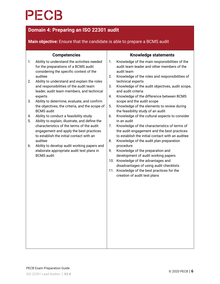### **Domain 4: Preparing an ISO 22301 audit**

### **Main objective:** Ensure that the candidate is able to prepare a BCMS audit

|          | <b>Competencies</b>                                                                                                                       | <b>Knowledge statements</b> |                                                                                                                                                                        |  |  |
|----------|-------------------------------------------------------------------------------------------------------------------------------------------|-----------------------------|------------------------------------------------------------------------------------------------------------------------------------------------------------------------|--|--|
| 1.       | Ability to understand the activities needed<br>for the preparations of a BCMS audit<br>considering the specific context of the<br>auditee | 1.<br>2.                    | Knowledge of the main responsibilities of the<br>audit team leader and other members of the<br>audit team<br>Knowledge of the roles and responsibilities of            |  |  |
| 2.       | Ability to understand and explain the roles<br>and responsibilities of the audit team<br>leader, audit team members, and technical        | 3.                          | technical experts<br>Knowledge of the audit objectives, audit scope,<br>and audit criteria                                                                             |  |  |
| 3.       | experts<br>Ability to determine, evaluate, and confirm<br>the objectives, the criteria, and the scope of<br><b>BCMS</b> audit             | 4.<br>5.                    | Knowledge of the difference between BCMS<br>scope and the audit scope<br>Knowledge of the elements to review during<br>the feasibility study of an audit               |  |  |
| 4.<br>5. | Ability to conduct a feasibility study<br>Ability to explain, illustrate, and define the                                                  | 6.                          | Knowledge of the cultural aspects to consider<br>in an audit                                                                                                           |  |  |
|          | characteristics of the terms of the audit<br>engagement and apply the best practices<br>to establish the initial contact with an          | 7.                          | Knowledge of the characteristics of terms of<br>the audit engagement and the best practices<br>to establish the initial contact with an auditee                        |  |  |
| 6.       | auditee<br>Ability to develop audit working papers and<br>elaborate appropriate audit test plans in<br><b>BCMS</b> audit                  | 8.<br>9.                    | Knowledge of the audit plan preparation<br>procedure<br>Knowledge of the preparation and<br>development of audit working papers<br>10. Knowledge of the advantages and |  |  |
|          |                                                                                                                                           |                             | disadvantages of using audit checklists<br>11. Knowledge of the best practices for the<br>creation of audit test plans                                                 |  |  |
|          |                                                                                                                                           |                             |                                                                                                                                                                        |  |  |
|          |                                                                                                                                           |                             |                                                                                                                                                                        |  |  |
|          |                                                                                                                                           |                             |                                                                                                                                                                        |  |  |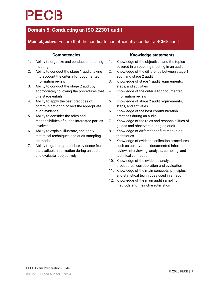### **Domain 5: Conducting an ISO 22301 audit**

### **Main objective:** Ensure that the candidate can efficiently conduct a BCMS audit

| <b>Competencies</b> |                                                                                          |    | <b>Knowledge statements</b>                                                                  |  |  |  |
|---------------------|------------------------------------------------------------------------------------------|----|----------------------------------------------------------------------------------------------|--|--|--|
| 1.                  | Ability to organize and conduct an opening<br>meeting                                    | 1. | Knowledge of the objectives and the topics<br>covered in an opening meeting in an audit      |  |  |  |
| 2.                  | Ability to conduct the stage 1 audit, taking<br>into account the criteria for documented | 2. | Knowledge of the difference between stage 1<br>audit and stage 2 audit                       |  |  |  |
| 3.                  | information review<br>Ability to conduct the stage 2 audit by                            | 3. | Knowledge of stage 1 audit requirements,<br>steps, and activities                            |  |  |  |
|                     | appropriately following the procedures that<br>this stage entails                        | 4. | Knowledge of the criteria for documented<br>information review                               |  |  |  |
| 4.                  | Ability to apply the best practices of<br>communication to collect the appropriate       | 5. | Knowledge of stage 2 audit requirements,<br>steps, and activities                            |  |  |  |
| 5.                  | audit evidence<br>Ability to consider the roles and                                      | 6. | Knowledge of the best communication<br>practices during an audit                             |  |  |  |
|                     | responsibilities of all the interested parties<br>involved                               | 7. | Knowledge of the roles and responsibilities of<br>guides and observers during an audit       |  |  |  |
| 6.                  | Ability to explain, illustrate, and apply                                                | 8. | Knowledge of different conflict resolution                                                   |  |  |  |
|                     | statistical techniques and audit sampling<br>methods                                     | 9. | techniques<br>Knowledge of evidence collection procedures                                    |  |  |  |
| 7.                  | Ability to gather appropriate evidence from<br>the available information during an audit |    | such as observation, documented information<br>review, interviewing, analysis, sampling, and |  |  |  |
|                     | and evaluate it objectively                                                              |    | technical verification<br>10. Knowledge of the evidence analysis                             |  |  |  |
|                     |                                                                                          |    | procedures: corroboration and evaluation<br>11. Knowledge of the main concepts, principles,  |  |  |  |
|                     |                                                                                          |    | and statistical techniques used in an audit<br>12. Knowledge of the main audit sampling      |  |  |  |
|                     |                                                                                          |    | methods and their characteristics                                                            |  |  |  |
|                     |                                                                                          |    |                                                                                              |  |  |  |
|                     |                                                                                          |    |                                                                                              |  |  |  |
|                     |                                                                                          |    |                                                                                              |  |  |  |
|                     |                                                                                          |    |                                                                                              |  |  |  |
|                     |                                                                                          |    |                                                                                              |  |  |  |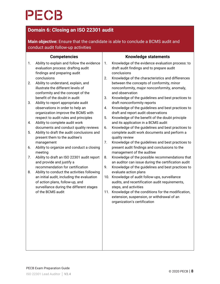### **Domain 6: Closing an ISO 22301 audit**

**Main objective:** Ensure that the candidate is able to conclude a BCMS audit and conduct audit follow-up activities

| <b>Competencies</b><br><b>Knowledge statements</b>                                                                                                                                                                                                                                                                    |  |  |  |  |
|-----------------------------------------------------------------------------------------------------------------------------------------------------------------------------------------------------------------------------------------------------------------------------------------------------------------------|--|--|--|--|
| Ability to explain and follow the evidence<br>1.<br>Knowledge of the evidence evaluation process: to<br>1.<br>evaluation process: drafting audit<br>draft audit findings and to prepare audit<br>findings and preparing audit<br>conclusions<br>conclusions<br>Knowledge of the characteristics and differences<br>2. |  |  |  |  |
| Ability to understand, explain, and<br>between the concepts of conformity, minor<br>2.<br>illustrate the different levels of<br>nonconformity, major nonconformity, anomaly,<br>and observation<br>conformity and the concept of the                                                                                  |  |  |  |  |
| benefit of the doubt in audit<br>3.<br>Knowledge of the guidelines and best practices to<br>draft nonconformity reports<br>Ability to report appropriate audit<br>3.                                                                                                                                                  |  |  |  |  |
| observations in order to help an<br>Knowledge of the guidelines and best practices to<br>4.<br>organization improve the BCMS with<br>draft and report audit observations                                                                                                                                              |  |  |  |  |
| respect to audit rules and principles<br>5.<br>Knowledge of the benefit of the doubt principle<br>Ability to complete audit work<br>and its application in a BCMS audit<br>4.                                                                                                                                         |  |  |  |  |
| documents and conduct quality reviews<br>Knowledge of the guidelines and best practices to<br>6.<br>Ability to draft the audit conclusions and<br>complete audit work documents and perform a<br>5.                                                                                                                   |  |  |  |  |
| present them to the auditee's<br>quality review<br>7.<br>Knowledge of the guidelines and best practices to<br>management<br>Ability to organize and conduct a closing<br>present audit findings and conclusions to the<br>6.                                                                                          |  |  |  |  |
| meeting<br>management of the auditee                                                                                                                                                                                                                                                                                  |  |  |  |  |
| Knowledge of the possible recommendations that<br>Ability to draft an ISO 22301 audit report<br>8.<br>7.<br>and provide and justify a<br>an auditor can issue during the certification audit                                                                                                                          |  |  |  |  |
| recommendation for certification<br>9.<br>Knowledge of the guidelines and best practices to<br>Ability to conduct the activities following<br>evaluate action plans<br>8.                                                                                                                                             |  |  |  |  |
| an initial audit, including the evaluation<br>10. Knowledge of audit follow-ups, surveillance<br>of action plans, follow-up, and<br>audits, and recertification audit requirements,<br>surveillance during the different stages<br>steps, and activities                                                              |  |  |  |  |
| of the BCMS audit<br>11. Knowledge of the conditions for the modification,<br>extension, suspension, or withdrawal of an<br>organization's certification                                                                                                                                                              |  |  |  |  |
|                                                                                                                                                                                                                                                                                                                       |  |  |  |  |
|                                                                                                                                                                                                                                                                                                                       |  |  |  |  |
|                                                                                                                                                                                                                                                                                                                       |  |  |  |  |
|                                                                                                                                                                                                                                                                                                                       |  |  |  |  |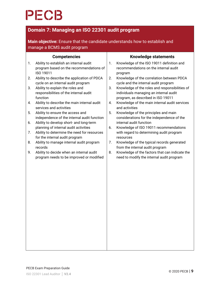### **Domain 7: Managing an ISO 22301 audit program**

**Main objective:** Ensure that the candidate understands how to establish and manage a BCMS audit program

|    | <b>Competencies</b>                                                                            | <b>Knowledge statements</b> |                                                                                                                                |  |  |
|----|------------------------------------------------------------------------------------------------|-----------------------------|--------------------------------------------------------------------------------------------------------------------------------|--|--|
| 1. | Ability to establish an internal audit<br>program based on the recommendations of<br>ISO 19011 | 1.                          | Knowledge of the ISO 19011 definition and<br>recommendations on the internal audit<br>program                                  |  |  |
| 2. | Ability to describe the application of PDCA<br>cycle on an internal audit program              | 2.                          | Knowledge of the correlation between PDCA<br>cycle and the internal audit program                                              |  |  |
| 3. | Ability to explain the roles and<br>responsibilities of the internal audit<br>function         | 3.                          | Knowledge of the roles and responsibilities of<br>individuals managing an internal audit<br>program, as described in ISO 19011 |  |  |
| 4. | Ability to describe the main internal audit<br>services and activities                         | 4.                          | Knowledge of the main internal audit services<br>and activities                                                                |  |  |
| 5. | Ability to ensure the access and<br>independence of the internal audit function                | 5.                          | Knowledge of the principles and main<br>considerations for the independence of the                                             |  |  |
| 6. | Ability to develop short- and long-term<br>planning of internal audit activities               | 6.                          | internal audit function<br>Knowledge of ISO 19011 recommendations                                                              |  |  |
| 7. | Ability to determine the need for resources<br>for the internal audit program                  |                             | with regard to determining audit program<br>resources                                                                          |  |  |
| 8. | Ability to manage internal audit program                                                       | 7.                          | Knowledge of the typical records generated                                                                                     |  |  |
| 9. | records<br>Ability to decide when an internal audit                                            | 8.                          | from the internal audit program<br>Knowledge of the factors that can indicate the                                              |  |  |
|    | program needs to be improved or modified                                                       |                             | need to modify the internal audit program                                                                                      |  |  |
|    |                                                                                                |                             |                                                                                                                                |  |  |
|    |                                                                                                |                             |                                                                                                                                |  |  |
|    |                                                                                                |                             |                                                                                                                                |  |  |
|    |                                                                                                |                             |                                                                                                                                |  |  |
|    |                                                                                                |                             |                                                                                                                                |  |  |
|    |                                                                                                |                             |                                                                                                                                |  |  |
|    |                                                                                                |                             |                                                                                                                                |  |  |
|    |                                                                                                |                             |                                                                                                                                |  |  |
|    |                                                                                                |                             |                                                                                                                                |  |  |
|    |                                                                                                |                             |                                                                                                                                |  |  |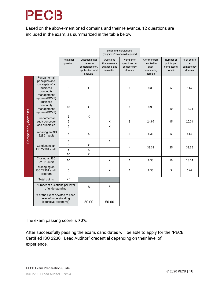Based on the above-mentioned domains and their relevance, 12 questions are included in the exam, as summarized in the table below:

|                    |                                                                                                         |                        | Level of understanding<br>(cognitive/taxonomy) required                     |                                                          |                                                    |                                                             |                                                 |                                            |
|--------------------|---------------------------------------------------------------------------------------------------------|------------------------|-----------------------------------------------------------------------------|----------------------------------------------------------|----------------------------------------------------|-------------------------------------------------------------|-------------------------------------------------|--------------------------------------------|
|                    |                                                                                                         | Points per<br>question | Questions that<br>measure<br>comprehension,<br>application, and<br>analysis | Questions<br>that measure<br>synthesis and<br>evaluation | Number of<br>questions per<br>competency<br>domain | % of the exam<br>devoted to<br>each<br>competency<br>domain | Number of<br>points per<br>competency<br>domain | % of points<br>per<br>competency<br>domain |
|                    | Fundamental<br>principles and<br>concepts of a<br>business<br>continuity<br>management<br>system (BCMS) | 5                      | X                                                                           |                                                          | 1                                                  | 8.33                                                        | 5                                               | 6.67                                       |
|                    | <b>Business</b><br>continuity<br>management<br>system (BCMS)                                            | 10                     | X                                                                           |                                                          | 1                                                  | 8.33                                                        | 10                                              | 13.34                                      |
|                    | Fundamental<br>audit concepts<br>and principles                                                         | 5                      | $\pmb{\mathsf{X}}$                                                          |                                                          |                                                    |                                                             |                                                 |                                            |
|                    |                                                                                                         | 5                      |                                                                             | X                                                        | 3                                                  | 24.99                                                       | 15                                              | 20.01                                      |
|                    |                                                                                                         | 5                      |                                                                             | X                                                        |                                                    |                                                             |                                                 |                                            |
| Competency domains | Preparing an ISO<br>22301 audit                                                                         | 5                      | X                                                                           |                                                          | 1                                                  | 8.33                                                        | 5                                               | 6.67                                       |
|                    | Conducting an<br>ISO 22301 audit                                                                        | 5                      |                                                                             | X                                                        |                                                    |                                                             |                                                 |                                            |
|                    |                                                                                                         | 5                      | $\pmb{\mathsf{X}}$                                                          |                                                          | 4                                                  | 33.32                                                       | 25                                              | 33.35                                      |
|                    |                                                                                                         | 5                      | $\mathsf{\chi}$                                                             |                                                          |                                                    |                                                             |                                                 |                                            |
|                    |                                                                                                         | 10                     | $\pmb{\mathsf{X}}$                                                          |                                                          |                                                    |                                                             |                                                 |                                            |
|                    | Closing an ISO<br>22301 audit                                                                           | 10                     |                                                                             | X                                                        | 1                                                  | 8.33                                                        | 10                                              | 13.34                                      |
|                    | Managing an<br>ISO 22301 audit<br>program                                                               | 5                      |                                                                             | X                                                        | 1                                                  | 8.33                                                        | 5                                               | 6.67                                       |
|                    | <b>Total points</b>                                                                                     | 75                     |                                                                             |                                                          |                                                    |                                                             |                                                 |                                            |
|                    | Number of questions per level<br>of understanding                                                       |                        | 6                                                                           | 6                                                        |                                                    |                                                             |                                                 |                                            |
|                    | % of the exam devoted to each<br>level of understanding<br>(cognitive/taxonomy)                         |                        | 50.00                                                                       | 50.00                                                    |                                                    |                                                             |                                                 |                                            |

The exam passing score is **70%**.

After successfully passing the exam, candidates will be able to apply for the "PECB Certified ISO 22301 Lead Auditor" credential depending on their level of experience.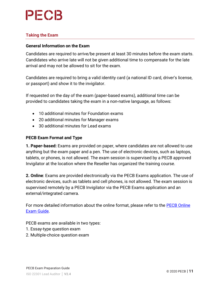

#### **Taking the Exam**

#### **General Information on the Exam**

Candidates are required to arrive/be present at least 30 minutes before the exam starts. Candidates who arrive late will not be given additional time to compensate for the late arrival and may not be allowed to sit for the exam.

Candidates are required to bring a valid identity card (a national ID card, driver's license, or passport) and show it to the invigilator.

If requested on the day of the exam (paper-based exams), additional time can be provided to candidates taking the exam in a non-native language, as follows:

- 10 additional minutes for Foundation exams
- 20 additional minutes for Manager exams
- 30 additional minutes for Lead exams

#### **PECB Exam Format and Type**

**1. Paper-based:** Exams are provided on paper, where candidates are not allowed to use anything but the exam paper and a pen. The use of electronic devices, such as laptops, tablets, or phones, is not allowed. The exam session is supervised by a PECB approved Invigilator at the location where the Reseller has organized the training course.

**2. Online**: Exams are provided electronically via the PECB Exams application. The use of electronic devices, such as tablets and cell phones, is not allowed. The exam session is supervised remotely by a PECB Invigilator via the PECB Exams application and an external/integrated camera.

For more detailed information about the online format, please refer to the [PECB Online](https://pecb.com/help/wp-content/uploads/2018/06/Preparing-for-your-PECB-Online-Exam-Guide.pdf)  [Exam Guide](https://pecb.com/help/wp-content/uploads/2018/06/Preparing-for-your-PECB-Online-Exam-Guide.pdf).

PECB exams are available in two types:

- 1. Essay-type question exam
- 2. Multiple-choice question exam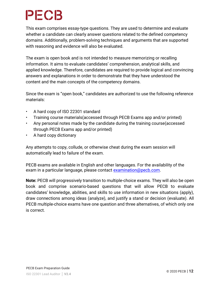This exam comprises essay-type questions. They are used to determine and evaluate whether a candidate can clearly answer questions related to the defined competency domains. Additionally, problem-solving techniques and arguments that are supported with reasoning and evidence will also be evaluated.

The exam is open book and is not intended to measure memorizing or recalling information. It aims to evaluate candidates' comprehension, analytical skills, and applied knowledge. Therefore, candidates are required to provide logical and convincing answers and explanations in order to demonstrate that they have understood the content and the main concepts of the competency domains.

Since the exam is "open book," candidates are authorized to use the following reference materials:

- A hard copy of ISO 22301 standard
- Training course materials(accessed through PECB Exams app and/or printed)
- Any personal notes made by the candidate during the training course(accessed through PECB Exams app and/or printed)
- A hard copy dictionary

Any attempts to copy, collude, or otherwise cheat during the exam session will automatically lead to failure of the exam.

PECB exams are available in English and other languages. For the availability of the exam in a particular language, please contact [examination@pecb.com.](mailto:examination@pecb.com)

**Note:** PECB will progressively transition to multiple-choice exams. They will also be open book and comprise scenario-based questions that will allow PECB to evaluate candidates' knowledge, abilities, and skills to use information in new situations (apply), draw connections among ideas (analyze), and justify a stand or decision (evaluate). All PECB multiple-choice exams have one question and three alternatives, of which only one is correct.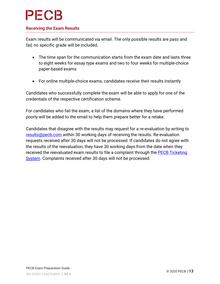#### **Receiving the Exam Results**

Exam results will be communicated via email. The only possible results are *pass* and *fail;* no specific grade will be included.

- The time span for the communication starts from the exam date and lasts three to eight weeks for essay type exams and two to four weeks for multiple-choice paper-based exams
- For online multiple-choice exams, candidates receive their results instantly

Candidates who successfully complete the exam will be able to apply for one of the credentials of the respective certification scheme.

For candidates who fail the exam, a list of the domains where they have performed poorly will be added to the email to help them prepare better for a retake.

Candidates that disagree with the results may request for a re-evaluation by writing to [results@pecb.com](mailto:results@pecb.com) within 30 working days of receiving the results. Re-evaluation requests received after 30 days will not be processed. If candidates do not agree with the results of the reevaluation, they have 30 working days from the date when they received the reevaluated exam results to file a complaint through the [PECB Ticketing](https://pecb.com/en/ticketInfo/support#support_tab_1)  [System.](https://pecb.com/en/ticketInfo/support#support_tab_1) Complaints received after 30 days will not be processed.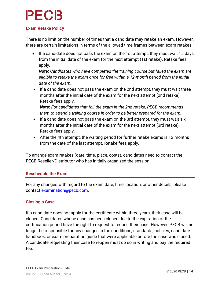#### **Exam Retake Policy**

There is no limit on the number of times that a candidate may retake an exam. However, there are certain limitations in terms of the allowed time frames between exam retakes.

 If a candidate does not pass the exam on the 1st attempt, they must wait 15 days from the initial date of the exam for the next attempt (1st retake). Retake fees apply.

*Note: Candidates who have completed the training course but failed the exam are eligible to retake the exam once for free within a 12-month period from the initial date of the exam.*

• If a candidate does not pass the exam on the 2nd attempt, they must wait three months after the initial date of the exam for the next attempt (2nd retake). Retake fees apply.

*Note: For candidates that fail the exam in the 2nd retake, PECB recommends them to attend a training course in order to be better prepared for the exam.*

- If a candidate does not pass the exam on the 3rd attempt, they must wait six months after the initial date of the exam for the next attempt (3rd retake). Retake fees apply.
- After the 4th attempt, the waiting period for further retake exams is 12 months from the date of the last attempt. Retake fees apply.

To arrange exam retakes (date, time, place, costs), candidates need to contact the PECB Reseller/Distributor who has initially organized the session.

#### **Reschedule the Exam**

For any changes with regard to the exam date, time, location, or other details, please contact [examination@pecb.com.](mailto:examination@pecb.com)

#### **Closing a Case**

If a candidate does not apply for the certificate within three years, their case will be closed. Candidates whose case has been closed due to the expiration of the certification period have the right to request to reopen their case. However, PECB will no longer be responsible for any changes in the conditions, standards, policies, candidate handbook, or exam preparation guide that were applicable before the case was closed. A candidate requesting their case to reopen must do so in writing and pay the required fee.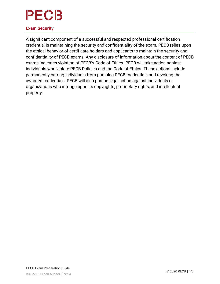#### **Exam Security**

A significant component of a successful and respected professional certification credential is maintaining the security and confidentiality of the exam. PECB relies upon the ethical behavior of certificate holders and applicants to maintain the security and confidentiality of PECB exams. Any disclosure of information about the content of PECB exams indicates violation of PECB's Code of Ethics. PECB will take action against individuals who violate PECB Policies and the Code of Ethics. These actions include permanently barring individuals from pursuing PECB credentials and revoking the awarded credentials. PECB will also pursue legal action against individuals or organizations who infringe upon its copyrights, proprietary rights, and intellectual property.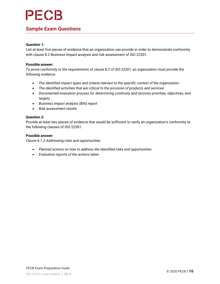### **Sample Exam Questions**

#### **Question 1:**

List at least five pieces of evidence that an organization can provide in order to demonstrate conformity with clause 8.2 Business impact analysis and risk assessment of ISO 22301.

#### **Possible answer:**

*To prove conformity to the requirements of clause 8.2 of ISO 22301, an organization must provide the following evidence:*

- *The identified impact types and criteria relevant to the specific context of the organization*
- *The identified activities that are critical to the provision of products and services*
- *Documented evaluation process for determining continuity and recovery priorities, objectives, and targets*
- *Business impact analysis (BIA) report*
- *Risk assessment results*

#### **Question 2:**

Provide at least two pieces of evidence that would be sufficient to verify an organization's conformity to the following clauses of ISO 22301.

#### **Possible answer:**

*Clause 6.1.2 Addressing risks and opportunities*

- *Planned actions on how to address the identified risks and opportunities*
- *Evaluation reports of the actions taken*